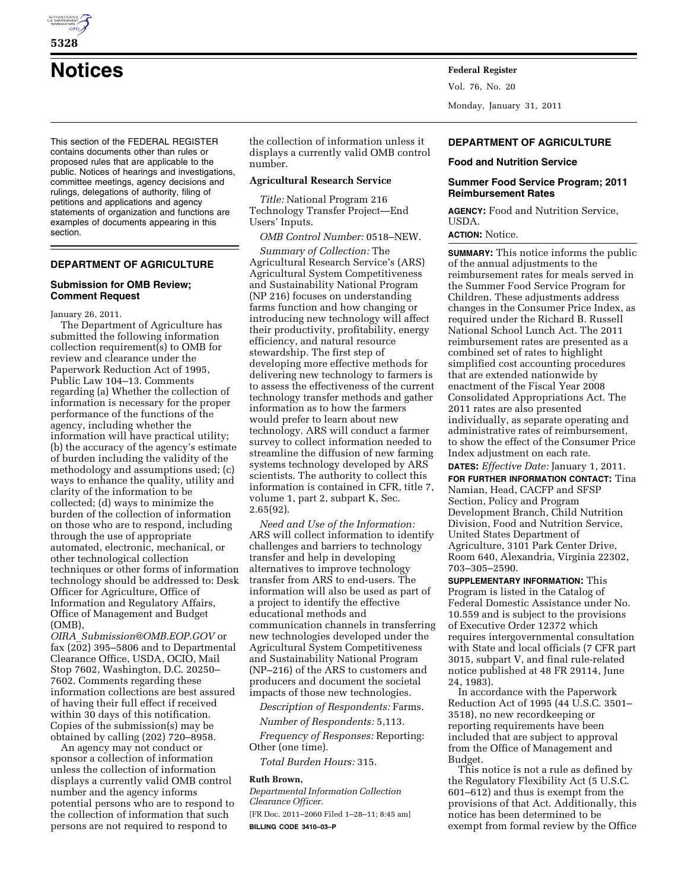

**Notices Federal Register**

This section of the FEDERAL REGISTER contains documents other than rules or proposed rules that are applicable to the public. Notices of hearings and investigations, committee meetings, agency decisions and rulings, delegations of authority, filing of petitions and applications and agency statements of organization and functions are examples of documents appearing in this section.

# **DEPARTMENT OF AGRICULTURE**

#### **Submission for OMB Review; Comment Request**

January 26, 2011.

The Department of Agriculture has submitted the following information collection requirement(s) to OMB for review and clearance under the Paperwork Reduction Act of 1995, Public Law 104–13. Comments regarding (a) Whether the collection of information is necessary for the proper performance of the functions of the agency, including whether the information will have practical utility; (b) the accuracy of the agency's estimate of burden including the validity of the methodology and assumptions used; (c) ways to enhance the quality, utility and clarity of the information to be collected; (d) ways to minimize the burden of the collection of information on those who are to respond, including through the use of appropriate automated, electronic, mechanical, or other technological collection techniques or other forms of information technology should be addressed to: Desk Officer for Agriculture, Office of Information and Regulatory Affairs, Office of Management and Budget (OMB),

*OIRA*\_*[Submission@OMB.EOP.GOV](mailto:OIRA_Submission@OMB.EOP.GOV)* or fax (202) 395–5806 and to Departmental Clearance Office, USDA, OCIO, Mail Stop 7602, Washington, D.C. 20250– 7602. Comments regarding these information collections are best assured of having their full effect if received within 30 days of this notification. Copies of the submission(s) may be obtained by calling (202) 720–8958.

An agency may not conduct or sponsor a collection of information unless the collection of information displays a currently valid OMB control number and the agency informs potential persons who are to respond to the collection of information that such persons are not required to respond to

the collection of information unless it displays a currently valid OMB control number.

# **Agricultural Research Service**

*Title:* National Program 216 Technology Transfer Project—End Users' Inputs.

*OMB Control Number:* 0518–NEW.

*Summary of Collection:* The Agricultural Research Service's (ARS) Agricultural System Competitiveness and Sustainability National Program (NP 216) focuses on understanding farms function and how changing or introducing new technology will affect their productivity, profitability, energy efficiency, and natural resource stewardship. The first step of developing more effective methods for delivering new technology to farmers is to assess the effectiveness of the current technology transfer methods and gather information as to how the farmers would prefer to learn about new technology. ARS will conduct a farmer survey to collect information needed to streamline the diffusion of new farming systems technology developed by ARS scientists. The authority to collect this information is contained in CFR, title 7, volume 1, part 2, subpart K, Sec. 2.65(92).

*Need and Use of the Information:*  ARS will collect information to identify challenges and barriers to technology transfer and help in developing alternatives to improve technology transfer from ARS to end-users. The information will also be used as part of a project to identify the effective educational methods and communication channels in transferring new technologies developed under the Agricultural System Competitiveness and Sustainability National Program (NP–216) of the ARS to customers and producers and document the societal impacts of those new technologies.

*Description of Respondents:* Farms.

*Number of Respondents:* 5,113.

*Frequency of Responses:* Reporting: Other (one time).

*Total Burden Hours:* 315.

#### **Ruth Brown,**

*Departmental Information Collection Clearance Officer.*  [FR Doc. 2011–2060 Filed 1–28–11; 8:45 am] **BILLING CODE 3410–03–P** 

# **DEPARTMENT OF AGRICULTURE**

#### **Food and Nutrition Service**

Monday, January 31, 2011

#### **Summer Food Service Program; 2011 Reimbursement Rates**

**AGENCY:** Food and Nutrition Service, USDA.

# **ACTION:** Notice.

Vol. 76, No. 20

**SUMMARY:** This notice informs the public of the annual adjustments to the reimbursement rates for meals served in the Summer Food Service Program for Children. These adjustments address changes in the Consumer Price Index, as required under the Richard B. Russell National School Lunch Act. The 2011 reimbursement rates are presented as a combined set of rates to highlight simplified cost accounting procedures that are extended nationwide by enactment of the Fiscal Year 2008 Consolidated Appropriations Act. The 2011 rates are also presented individually, as separate operating and administrative rates of reimbursement, to show the effect of the Consumer Price Index adjustment on each rate.

**DATES:** *Effective Date:* January 1, 2011. **FOR FURTHER INFORMATION CONTACT:** Tina Namian, Head, CACFP and SFSP Section, Policy and Program Development Branch, Child Nutrition Division, Food and Nutrition Service, United States Department of Agriculture, 3101 Park Center Drive, Room 640, Alexandria, Virginia 22302, 703–305–2590.

**SUPPLEMENTARY INFORMATION:** This Program is listed in the Catalog of Federal Domestic Assistance under No. 10.559 and is subject to the provisions of Executive Order 12372 which requires intergovernmental consultation with State and local officials (7 CFR part 3015, subpart V, and final rule-related notice published at 48 FR 29114, June 24, 1983).

In accordance with the Paperwork Reduction Act of 1995 (44 U.S.C. 3501– 3518), no new recordkeeping or reporting requirements have been included that are subject to approval from the Office of Management and Budget.

This notice is not a rule as defined by the Regulatory Flexibility Act (5 U.S.C. 601–612) and thus is exempt from the provisions of that Act. Additionally, this notice has been determined to be exempt from formal review by the Office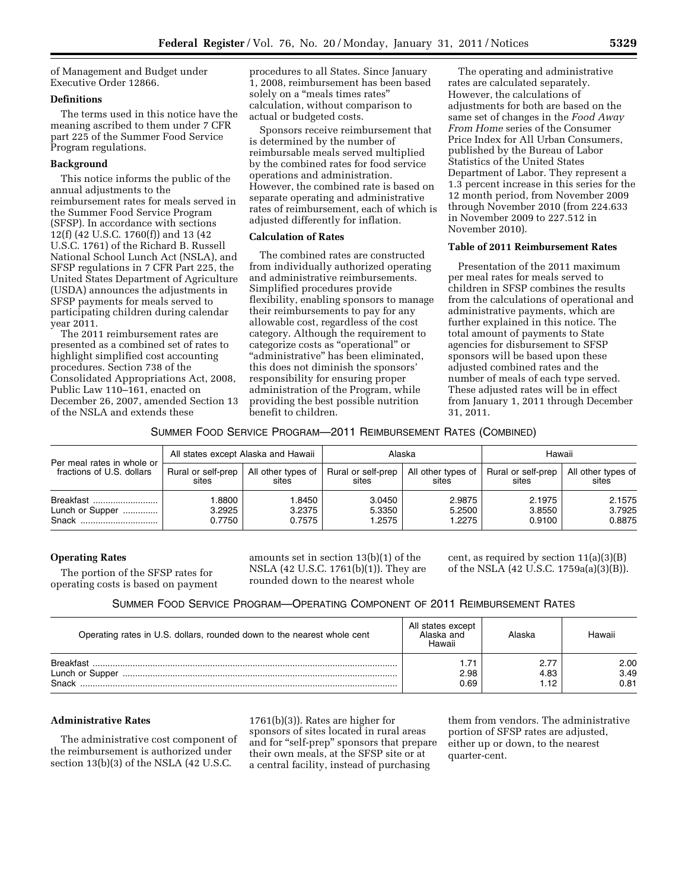of Management and Budget under Executive Order 12866.

### **Definitions**

The terms used in this notice have the meaning ascribed to them under 7 CFR part 225 of the Summer Food Service Program regulations.

# **Background**

This notice informs the public of the annual adjustments to the reimbursement rates for meals served in the Summer Food Service Program (SFSP). In accordance with sections 12(f) (42 U.S.C. 1760(f)) and 13 (42 U.S.C. 1761) of the Richard B. Russell National School Lunch Act (NSLA), and SFSP regulations in 7 CFR Part 225, the United States Department of Agriculture (USDA) announces the adjustments in SFSP payments for meals served to participating children during calendar year 2011.

The 2011 reimbursement rates are presented as a combined set of rates to highlight simplified cost accounting procedures. Section 738 of the Consolidated Appropriations Act, 2008, Public Law 110–161, enacted on December 26, 2007, amended Section 13 of the NSLA and extends these

procedures to all States. Since January 1, 2008, reimbursement has been based solely on a "meals times rates" calculation, without comparison to actual or budgeted costs.

Sponsors receive reimbursement that is determined by the number of reimbursable meals served multiplied by the combined rates for food service operations and administration. However, the combined rate is based on separate operating and administrative rates of reimbursement, each of which is adjusted differently for inflation.

#### **Calculation of Rates**

The combined rates are constructed from individually authorized operating and administrative reimbursements. Simplified procedures provide flexibility, enabling sponsors to manage their reimbursements to pay for any allowable cost, regardless of the cost category. Although the requirement to categorize costs as ''operational'' or ''administrative'' has been eliminated, this does not diminish the sponsors' responsibility for ensuring proper administration of the Program, while providing the best possible nutrition benefit to children.

The operating and administrative rates are calculated separately. However, the calculations of adjustments for both are based on the same set of changes in the *Food Away From Home* series of the Consumer Price Index for All Urban Consumers, published by the Bureau of Labor Statistics of the United States Department of Labor. They represent a 1.3 percent increase in this series for the 12 month period, from November 2009 through November 2010 (from 224.633 in November 2009 to 227.512 in November 2010).

# **Table of 2011 Reimbursement Rates**

Presentation of the 2011 maximum per meal rates for meals served to children in SFSP combines the results from the calculations of operational and administrative payments, which are further explained in this notice. The total amount of payments to State agencies for disbursement to SFSP sponsors will be based upon these adjusted combined rates and the number of meals of each type served. These adjusted rates will be in effect from January 1, 2011 through December 31, 2011.

### SUMMER FOOD SERVICE PROGRAM—2011 REIMBURSEMENT RATES (COMBINED)

| Per meal rates in whole or<br>fractions of U.S. dollars | All states except Alaska and Hawaii |                             | Alaska                      |                               | Hawaii                      |                             |
|---------------------------------------------------------|-------------------------------------|-----------------------------|-----------------------------|-------------------------------|-----------------------------|-----------------------------|
|                                                         | Rural or self-prep<br>sites         | All other types of<br>sites | Rural or self-prep<br>sites | All other types of  <br>sites | Rural or self-prep<br>sites | All other types of<br>sites |
| Breakfast<br>Lunch or Supper<br>Snack                   | .8800<br>3.2925<br>0.7750           | 1.8450<br>3.2375<br>0.7575  | 3.0450<br>5.3350<br>1.2575  | 2.9875<br>5.2500<br>1.2275    | 2.1975<br>3.8550<br>0.9100  | 2.1575<br>3.7925<br>0.8875  |

#### **Operating Rates**

The portion of the SFSP rates for operating costs is based on payment amounts set in section 13(b)(1) of the NSLA (42 U.S.C. 1761(b)(1)). They are rounded down to the nearest whole

cent, as required by section  $11(a)(3)(B)$ of the NSLA (42 U.S.C. 1759a(a)(3)(B)).

| SUMMER FOOD SERVICE PROGRAM-OPERATING COMPONENT OF 2011 REIMBURSEMENT RATES |  |  |
|-----------------------------------------------------------------------------|--|--|
|-----------------------------------------------------------------------------|--|--|

| Operating rates in U.S. dollars, rounded down to the nearest whole cent | All states except<br>Alaska and<br>Hawaii | Naska      | Hawaii               |
|-------------------------------------------------------------------------|-------------------------------------------|------------|----------------------|
| <b>Rreakfast</b><br>Lunch or Supper<br>Snack                            | 2.98<br>0.69                              | 4.83<br>12 | 2.00<br>3.49<br>0.81 |

### **Administrative Rates**

The administrative cost component of the reimbursement is authorized under section 13(b)(3) of the NSLA (42 U.S.C.

1761(b)(3)). Rates are higher for sponsors of sites located in rural areas and for ''self-prep'' sponsors that prepare their own meals, at the SFSP site or at a central facility, instead of purchasing

them from vendors. The administrative portion of SFSP rates are adjusted, either up or down, to the nearest quarter-cent.